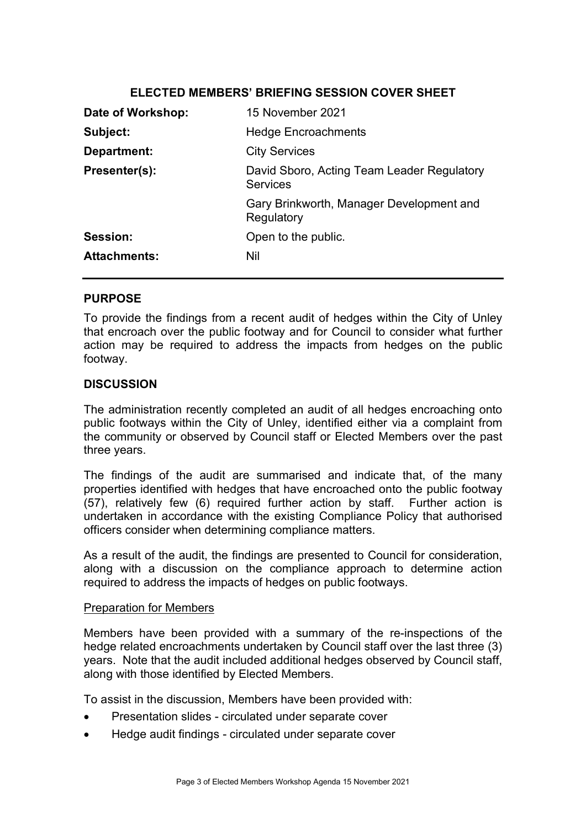# ELECTED MEMBERS' BRIEFING SESSION COVER SHEET

| Date of Workshop:   | 15 November 2021                                              |
|---------------------|---------------------------------------------------------------|
| Subject:            | <b>Hedge Encroachments</b>                                    |
| Department:         | <b>City Services</b>                                          |
| Presenter(s):       | David Sboro, Acting Team Leader Regulatory<br><b>Services</b> |
|                     | Gary Brinkworth, Manager Development and<br>Regulatory        |
| Session:            | Open to the public.                                           |
| <b>Attachments:</b> | Nil                                                           |

### **PURPOSE**

To provide the findings from a recent audit of hedges within the City of Unley that encroach over the public footway and for Council to consider what further action may be required to address the impacts from hedges on the public footway.

### **DISCUSSION**

The administration recently completed an audit of all hedges encroaching onto public footways within the City of Unley, identified either via a complaint from the community or observed by Council staff or Elected Members over the past three years.

The findings of the audit are summarised and indicate that, of the many properties identified with hedges that have encroached onto the public footway (57), relatively few (6) required further action by staff. Further action is undertaken in accordance with the existing Compliance Policy that authorised officers consider when determining compliance matters.

As a result of the audit, the findings are presented to Council for consideration, along with a discussion on the compliance approach to determine action required to address the impacts of hedges on public footways.

#### Preparation for Members

Members have been provided with a summary of the re-inspections of the hedge related encroachments undertaken by Council staff over the last three (3) years. Note that the audit included additional hedges observed by Council staff, along with those identified by Elected Members.

To assist in the discussion, Members have been provided with:

- Presentation slides circulated under separate cover
- Hedge audit findings circulated under separate cover